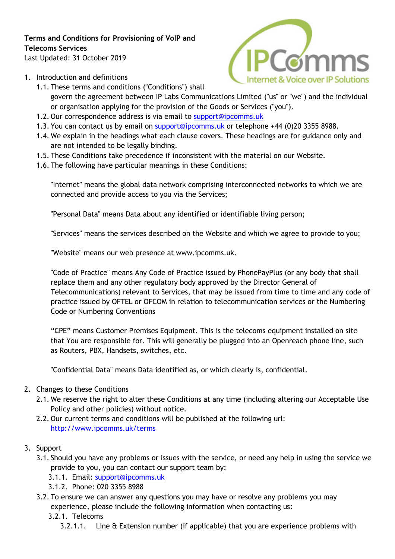# **Terms and Conditions for Provisioning of VoIP and Telecoms Services**

Last Updated: 31 October 2019



- 1. Introduction and definitions
	- 1.1. These terms and conditions ("Conditions") shall govern the agreement between IP Labs Communications Limited ("us" or "we") and the individual or organisation applying for the provision of the Goods or Services ("you").
	- 1.2. Our correspondence address is via email to support@ipcomms.uk
	- 1.3. You can contact us by email on support@ipcomms.uk or telephone +44 (0)20 3355 8988.
	- 1.4. We explain in the headings what each clause covers. These headings are for guidance only and are not intended to be legally binding.
	- 1.5. These Conditions take precedence if inconsistent with the material on our Website.
	- 1.6. The following have particular meanings in these Conditions:

"Internet" means the global data network comprising interconnected networks to which we are connected and provide access to you via the Services;

"Personal Data" means Data about any identified or identifiable living person;

"Services" means the services described on the Website and which we agree to provide to you;

"Website" means our web presence at www.ipcomms.uk.

"Code of Practice" means Any Code of Practice issued by PhonePayPlus (or any body that shall replace them and any other regulatory body approved by the Director General of Telecommunications) relevant to Services, that may be issued from time to time and any code of practice issued by OFTEL or OFCOM in relation to telecommunication services or the Numbering Code or Numbering Conventions

"CPE" means Customer Premises Equipment. This is the telecoms equipment installed on site that You are responsible for. This will generally be plugged into an Openreach phone line, such as Routers, PBX, Handsets, switches, etc.

"Confidential Data" means Data identified as, or which clearly is, confidential.

#### 2. Changes to these Conditions

- 2.1. We reserve the right to alter these Conditions at any time (including altering our Acceptable Use Policy and other policies) without notice.
- 2.2. Our current terms and conditions will be published at the following url: http://www.ipcomms.uk/terms
- 3. Support
	- 3.1. Should you have any problems or issues with the service, or need any help in using the service we provide to you, you can contact our support team by:
		- 3.1.1. Email: support@ipcomms.uk
		- 3.1.2. Phone: 020 3355 8988
	- 3.2. To ensure we can answer any questions you may have or resolve any problems you may experience, please include the following information when contacting us:
		- 3.2.1. Telecoms
			- 3.2.1.1. Line & Extension number (if applicable) that you are experience problems with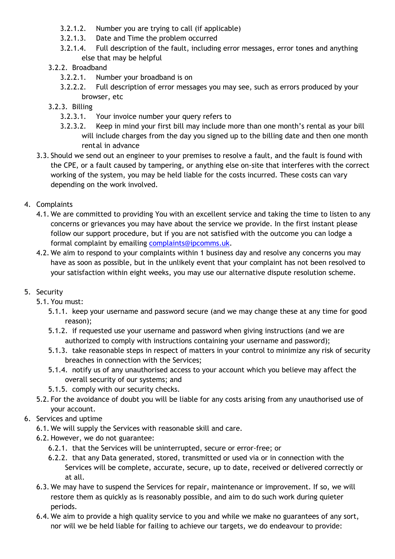- 3.2.1.2. Number you are trying to call (if applicable)
- 3.2.1.3. Date and Time the problem occurred
- 3.2.1.4. Full description of the fault, including error messages, error tones and anything else that may be helpful
- 3.2.2. Broadband
	- 3.2.2.1. Number your broadband is on
	- 3.2.2.2. Full description of error messages you may see, such as errors produced by your browser, etc
- 3.2.3. Billing
	- 3.2.3.1. Your invoice number your query refers to
	- 3.2.3.2. Keep in mind your first bill may include more than one month's rental as your bill will include charges from the day you signed up to the billing date and then one month rental in advance
- 3.3. Should we send out an engineer to your premises to resolve a fault, and the fault is found with the CPE, or a fault caused by tampering, or anything else on-site that interferes with the correct working of the system, you may be held liable for the costs incurred. These costs can vary depending on the work involved.
- 4. Complaints
	- 4.1. We are committed to providing You with an excellent service and taking the time to listen to any concerns or grievances you may have about the service we provide. In the first instant please follow our support procedure, but if you are not satisfied with the outcome you can lodge a formal complaint by emailing complaints@ipcomms.uk.
	- 4.2. We aim to respond to your complaints within 1 business day and resolve any concerns you may have as soon as possible, but in the unlikely event that your complaint has not been resolved to your satisfaction within eight weeks, you may use our alternative dispute resolution scheme.

# 5. Security

- 5.1. You must:
	- 5.1.1. keep your username and password secure (and we may change these at any time for good reason);
	- 5.1.2. if requested use your username and password when giving instructions (and we are authorized to comply with instructions containing your username and password);
	- 5.1.3. take reasonable steps in respect of matters in your control to minimize any risk of security breaches in connection with the Services;
	- 5.1.4. notify us of any unauthorised access to your account which you believe may affect the overall security of our systems; and
	- 5.1.5. comply with our security checks.
- 5.2. For the avoidance of doubt you will be liable for any costs arising from any unauthorised use of your account.
- 6. Services and uptime
	- 6.1. We will supply the Services with reasonable skill and care.
	- 6.2. However, we do not guarantee:
		- 6.2.1. that the Services will be uninterrupted, secure or error-free; or
		- 6.2.2. that any Data generated, stored, transmitted or used via or in connection with the Services will be complete, accurate, secure, up to date, received or delivered correctly or at all.
	- 6.3. We may have to suspend the Services for repair, maintenance or improvement. If so, we will restore them as quickly as is reasonably possible, and aim to do such work during quieter periods.
	- 6.4. We aim to provide a high quality service to you and while we make no guarantees of any sort, nor will we be held liable for failing to achieve our targets, we do endeavour to provide: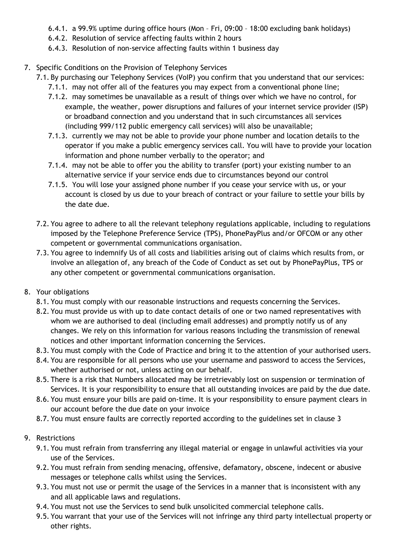- 6.4.1. a 99.9% uptime during office hours (Mon Fri, 09:00 18:00 excluding bank holidays)
- 6.4.2. Resolution of service affecting faults within 2 hours
- 6.4.3. Resolution of non-service affecting faults within 1 business day
- 7. Specific Conditions on the Provision of Telephony Services
	- 7.1. By purchasing our Telephony Services (VoIP) you confirm that you understand that our services:
		- 7.1.1. may not offer all of the features you may expect from a conventional phone line;
		- 7.1.2. may sometimes be unavailable as a result of things over which we have no control, for example, the weather, power disruptions and failures of your internet service provider (ISP) or broadband connection and you understand that in such circumstances all services (including 999/112 public emergency call services) will also be unavailable;
		- 7.1.3. currently we may not be able to provide your phone number and location details to the operator if you make a public emergency services call. You will have to provide your location information and phone number verbally to the operator; and
		- 7.1.4. may not be able to offer you the ability to transfer (port) your existing number to an alternative service if your service ends due to circumstances beyond our control
		- 7.1.5. You will lose your assigned phone number if you cease your service with us, or your account is closed by us due to your breach of contract or your failure to settle your bills by the date due.
	- 7.2. You agree to adhere to all the relevant telephony regulations applicable, including to regulations imposed by the Telephone Preference Service (TPS), PhonePayPlus and/or OFCOM or any other competent or governmental communications organisation.
	- 7.3. You agree to indemnify Us of all costs and liabilities arising out of claims which results from, or involve an allegation of, any breach of the Code of Conduct as set out by PhonePayPlus, TPS or any other competent or governmental communications organisation.
- 8. Your obligations
	- 8.1. You must comply with our reasonable instructions and requests concerning the Services.
	- 8.2. You must provide us with up to date contact details of one or two named representatives with whom we are authorised to deal (including email addresses) and promptly notify us of any changes. We rely on this information for various reasons including the transmission of renewal notices and other important information concerning the Services.
	- 8.3. You must comply with the Code of Practice and bring it to the attention of your authorised users.
	- 8.4. You are responsible for all persons who use your username and password to access the Services, whether authorised or not, unless acting on our behalf.
	- 8.5. There is a risk that Numbers allocated may be irretrievably lost on suspension or termination of Services. It is your responsibility to ensure that all outstanding invoices are paid by the due date.
	- 8.6. You must ensure your bills are paid on-time. It is your responsibility to ensure payment clears in our account before the due date on your invoice
	- 8.7. You must ensure faults are correctly reported according to the guidelines set in clause 3
- 9. Restrictions
	- 9.1. You must refrain from transferring any illegal material or engage in unlawful activities via your use of the Services.
	- 9.2. You must refrain from sending menacing, offensive, defamatory, obscene, indecent or abusive messages or telephone calls whilst using the Services.
	- 9.3. You must not use or permit the usage of the Services in a manner that is inconsistent with any and all applicable laws and regulations.
	- 9.4. You must not use the Services to send bulk unsolicited commercial telephone calls.
	- 9.5. You warrant that your use of the Services will not infringe any third party intellectual property or other rights.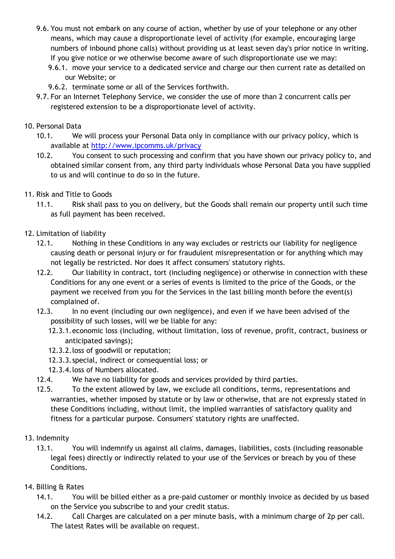- 9.6. You must not embark on any course of action, whether by use of your telephone or any other means, which may cause a disproportionate level of activity (for example, encouraging large numbers of inbound phone calls) without providing us at least seven day's prior notice in writing. If you give notice or we otherwise become aware of such disproportionate use we may:
	- 9.6.1. move your service to a dedicated service and charge our then current rate as detailed on our Website; or
	- 9.6.2. terminate some or all of the Services forthwith.
- 9.7. For an Internet Telephony Service, we consider the use of more than 2 concurrent calls per registered extension to be a disproportionate level of activity.

## 10. Personal Data

- 10.1. We will process your Personal Data only in compliance with our privacy policy, which is available at http://www.ipcomms.uk/privacy
- 10.2. You consent to such processing and confirm that you have shown our privacy policy to, and obtained similar consent from, any third party individuals whose Personal Data you have supplied to us and will continue to do so in the future.
- 11. Risk and Title to Goods
	- 11.1. Risk shall pass to you on delivery, but the Goods shall remain our property until such time as full payment has been received.
- 12. Limitation of liability
	- 12.1. Nothing in these Conditions in any way excludes or restricts our liability for negligence causing death or personal injury or for fraudulent misrepresentation or for anything which may not legally be restricted. Nor does it affect consumers' statutory rights.
	- 12.2. Our liability in contract, tort (including negligence) or otherwise in connection with these Conditions for any one event or a series of events is limited to the price of the Goods, or the payment we received from you for the Services in the last billing month before the event(s) complained of.
	- 12.3. In no event (including our own negligence), and even if we have been advised of the possibility of such losses, will we be liable for any:
		- 12.3.1.economic loss (including, without limitation, loss of revenue, profit, contract, business or anticipated savings);
		- 12.3.2.loss of goodwill or reputation;
		- 12.3.3.special, indirect or consequential loss; or
		- 12.3.4.loss of Numbers allocated.
	- 12.4. We have no liability for goods and services provided by third parties.
	- 12.5. To the extent allowed by law, we exclude all conditions, terms, representations and warranties, whether imposed by statute or by law or otherwise, that are not expressly stated in these Conditions including, without limit, the implied warranties of satisfactory quality and fitness for a particular purpose. Consumers' statutory rights are unaffected.
- 13. Indemnity
	- 13.1. You will indemnify us against all claims, damages, liabilities, costs (including reasonable legal fees) directly or indirectly related to your use of the Services or breach by you of these Conditions.
- 14. Billing & Rates
	- 14.1. You will be billed either as a pre-paid customer or monthly invoice as decided by us based on the Service you subscribe to and your credit status.
	- 14.2. Call Charges are calculated on a per minute basis, with a minimum charge of 2p per call. The latest Rates will be available on request.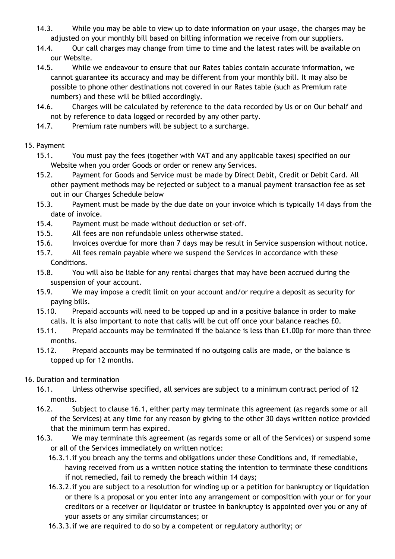- 14.3. While you may be able to view up to date information on your usage, the charges may be adjusted on your monthly bill based on billing information we receive from our suppliers.
- 14.4. Our call charges may change from time to time and the latest rates will be available on our Website.
- 14.5. While we endeavour to ensure that our Rates tables contain accurate information, we cannot guarantee its accuracy and may be different from your monthly bill. It may also be possible to phone other destinations not covered in our Rates table (such as Premium rate numbers) and these will be billed accordingly.
- 14.6. Charges will be calculated by reference to the data recorded by Us or on Our behalf and not by reference to data logged or recorded by any other party.
- 14.7. Premium rate numbers will be subject to a surcharge.

# 15. Payment

- 15.1. You must pay the fees (together with VAT and any applicable taxes) specified on our Website when you order Goods or order or renew any Services.
- 15.2. Payment for Goods and Service must be made by Direct Debit, Credit or Debit Card. All other payment methods may be rejected or subject to a manual payment transaction fee as set out in our Charges Schedule below
- 15.3. Payment must be made by the due date on your invoice which is typically 14 days from the date of invoice.
- 15.4. Payment must be made without deduction or set-off.
- 15.5. All fees are non refundable unless otherwise stated.
- 15.6. Invoices overdue for more than 7 days may be result in Service suspension without notice.
- 15.7. All fees remain payable where we suspend the Services in accordance with these Conditions.
- 15.8. You will also be liable for any rental charges that may have been accrued during the suspension of your account.
- 15.9. We may impose a credit limit on your account and/or require a deposit as security for paying bills.
- 15.10. Prepaid accounts will need to be topped up and in a positive balance in order to make calls. It is also important to note that calls will be cut off once your balance reaches £0.
- 15.11. Prepaid accounts may be terminated if the balance is less than £1.00p for more than three months.
- 15.12. Prepaid accounts may be terminated if no outgoing calls are made, or the balance is topped up for 12 months.

# 16. Duration and termination

- 16.1. Unless otherwise specified, all services are subject to a minimum contract period of 12 months.
- 16.2. Subject to clause 16.1, either party may terminate this agreement (as regards some or all of the Services) at any time for any reason by giving to the other 30 days written notice provided that the minimum term has expired.
- 16.3. We may terminate this agreement (as regards some or all of the Services) or suspend some or all of the Services immediately on written notice:
	- 16.3.1.if you breach any the terms and obligations under these Conditions and, if remediable, having received from us a written notice stating the intention to terminate these conditions if not remedied, fail to remedy the breach within 14 days;
	- 16.3.2.if you are subject to a resolution for winding up or a petition for bankruptcy or liquidation or there is a proposal or you enter into any arrangement or composition with your or for your creditors or a receiver or liquidator or trustee in bankruptcy is appointed over you or any of your assets or any similar circumstances; or
	- 16.3.3.if we are required to do so by a competent or regulatory authority; or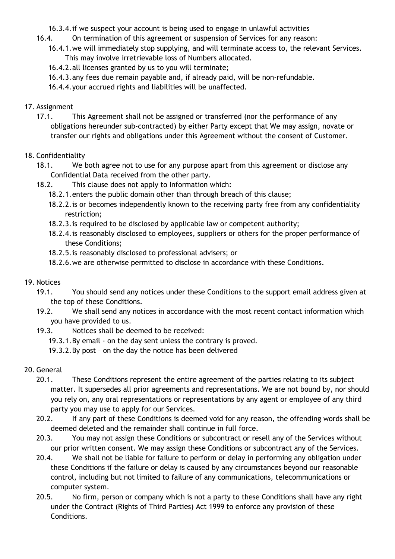16.3.4.if we suspect your account is being used to engage in unlawful activities

- 16.4. On termination of this agreement or suspension of Services for any reason:
	- 16.4.1.we will immediately stop supplying, and will terminate access to, the relevant Services. This may involve irretrievable loss of Numbers allocated.
	- 16.4.2.all licenses granted by us to you will terminate;
	- 16.4.3.any fees due remain payable and, if already paid, will be non-refundable.
	- 16.4.4.your accrued rights and liabilities will be unaffected.
- 17. Assignment
	- 17.1. This Agreement shall not be assigned or transferred (nor the performance of any obligations hereunder sub-contracted) by either Party except that We may assign, novate or transfer our rights and obligations under this Agreement without the consent of Customer.
- 18. Confidentiality
	- 18.1. We both agree not to use for any purpose apart from this agreement or disclose any Confidential Data received from the other party.
	- 18.2. This clause does not apply to Information which:
		- 18.2.1.enters the public domain other than through breach of this clause;
		- 18.2.2. is or becomes independently known to the receiving party free from any confidentiality restriction;
		- 18.2.3.is required to be disclosed by applicable law or competent authority;
		- 18.2.4.is reasonably disclosed to employees, suppliers or others for the proper performance of these Conditions;
		- 18.2.5.is reasonably disclosed to professional advisers; or
		- 18.2.6.we are otherwise permitted to disclose in accordance with these Conditions.
- 19. Notices
	- 19.1. You should send any notices under these Conditions to the support email address given at the top of these Conditions.
	- 19.2. We shall send any notices in accordance with the most recent contact information which you have provided to us.
	- 19.3. Notices shall be deemed to be received:
		- 19.3.1.By email on the day sent unless the contrary is proved.
		- 19.3.2.By post on the day the notice has been delivered
- 20. General
	- 20.1. These Conditions represent the entire agreement of the parties relating to its subject matter. It supersedes all prior agreements and representations. We are not bound by, nor should you rely on, any oral representations or representations by any agent or employee of any third party you may use to apply for our Services.
	- 20.2. If any part of these Conditions is deemed void for any reason, the offending words shall be deemed deleted and the remainder shall continue in full force.
	- 20.3. You may not assign these Conditions or subcontract or resell any of the Services without our prior written consent. We may assign these Conditions or subcontract any of the Services.
	- 20.4. We shall not be liable for failure to perform or delay in performing any obligation under these Conditions if the failure or delay is caused by any circumstances beyond our reasonable control, including but not limited to failure of any communications, telecommunications or computer system.
	- 20.5. No firm, person or company which is not a party to these Conditions shall have any right under the Contract (Rights of Third Parties) Act 1999 to enforce any provision of these Conditions.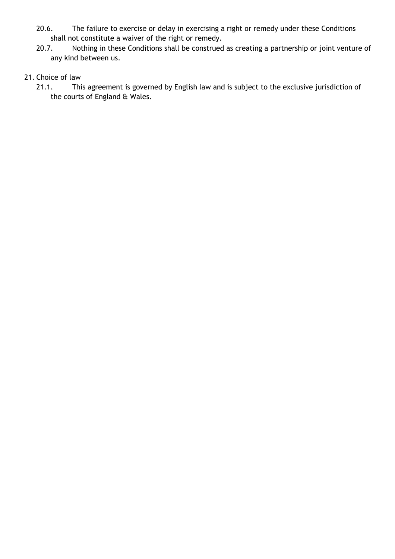- 20.6. The failure to exercise or delay in exercising a right or remedy under these Conditions shall not constitute a waiver of the right or remedy.
- 20.7. Nothing in these Conditions shall be construed as creating a partnership or joint venture of any kind between us.

#### 21. Choice of law

21.1. This agreement is governed by English law and is subject to the exclusive jurisdiction of the courts of England & Wales.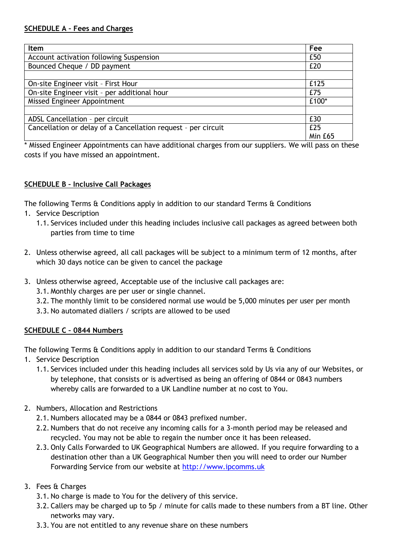| <b>Item</b>                                                   | Fee     |
|---------------------------------------------------------------|---------|
| Account activation following Suspension                       | £50     |
| Bounced Cheque / DD payment                                   | £20     |
|                                                               |         |
| On-site Engineer visit - First Hour                           | £125    |
| On-site Engineer visit - per additional hour                  | £75     |
| Missed Engineer Appointment                                   | £100*   |
|                                                               |         |
| ADSL Cancellation - per circuit                               | £30     |
| Cancellation or delay of a Cancellation request - per circuit | £25     |
|                                                               | Min £65 |

\* Missed Engineer Appointments can have additional charges from our suppliers. We will pass on these costs if you have missed an appointment.

# **SCHEDULE B – Inclusive Call Packages**

The following Terms & Conditions apply in addition to our standard Terms & Conditions

- 1. Service Description
	- 1.1. Services included under this heading includes inclusive call packages as agreed between both parties from time to time
- 2. Unless otherwise agreed, all call packages will be subject to a minimum term of 12 months, after which 30 days notice can be given to cancel the package
- 3. Unless otherwise agreed, Acceptable use of the inclusive call packages are:
	- 3.1. Monthly charges are per user or single channel.
	- 3.2. The monthly limit to be considered normal use would be 5,000 minutes per user per month
	- 3.3. No automated diallers / scripts are allowed to be used

# **SCHEDULE C – 0844 Numbers**

The following Terms  $\hat{\alpha}$  Conditions apply in addition to our standard Terms  $\hat{\alpha}$  Conditions

- 1. Service Description
	- 1.1. Services included under this heading includes all services sold by Us via any of our Websites, or by telephone, that consists or is advertised as being an offering of 0844 or 0843 numbers whereby calls are forwarded to a UK Landline number at no cost to You.
- 2. Numbers, Allocation and Restrictions
	- 2.1. Numbers allocated may be a 0844 or 0843 prefixed number.
	- 2.2. Numbers that do not receive any incoming calls for a 3-month period may be released and recycled. You may not be able to regain the number once it has been released.
	- 2.3. Only Calls Forwarded to UK Geographical Numbers are allowed. If you require forwarding to a destination other than a UK Geographical Number then you will need to order our Number Forwarding Service from our website at http://www.ipcomms.uk
- 3. Fees & Charges
	- 3.1. No charge is made to You for the delivery of this service.
	- 3.2. Callers may be charged up to 5p / minute for calls made to these numbers from a BT line. Other networks may vary.
	- 3.3. You are not entitled to any revenue share on these numbers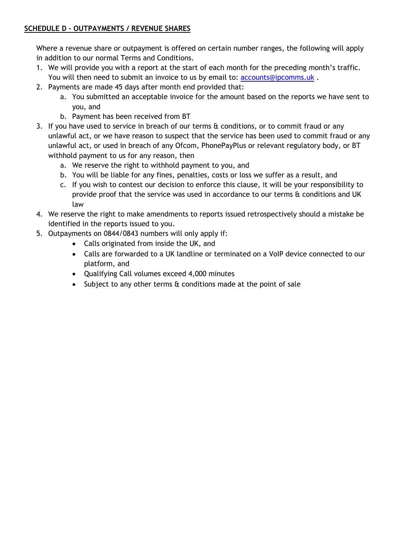## **SCHEDULE D – OUTPAYMENTS / REVENUE SHARES**

Where a revenue share or outpayment is offered on certain number ranges, the following will apply in addition to our normal Terms and Conditions.

- 1. We will provide you with a report at the start of each month for the preceding month's traffic. You will then need to submit an invoice to us by email to: accounts@ipcomms.uk.
- 2. Payments are made 45 days after month end provided that:
	- a. You submitted an acceptable invoice for the amount based on the reports we have sent to you, and
	- b. Payment has been received from BT
- 3. If you have used to service in breach of our terms & conditions, or to commit fraud or any unlawful act, or we have reason to suspect that the service has been used to commit fraud or any unlawful act, or used in breach of any Ofcom, PhonePayPlus or relevant regulatory body, or BT withhold payment to us for any reason, then
	- a. We reserve the right to withhold payment to you, and
	- b. You will be liable for any fines, penalties, costs or loss we suffer as a result, and
	- c. If you wish to contest our decision to enforce this clause, it will be your responsibility to provide proof that the service was used in accordance to our terms & conditions and UK law
- 4. We reserve the right to make amendments to reports issued retrospectively should a mistake be identified in the reports issued to you.
- 5. Outpayments on 0844/0843 numbers will only apply if:
	- Calls originated from inside the UK, and
	- Calls are forwarded to a UK landline or terminated on a VoIP device connected to our platform, and
	- Qualifying Call volumes exceed 4,000 minutes
	- Subject to any other terms & conditions made at the point of sale